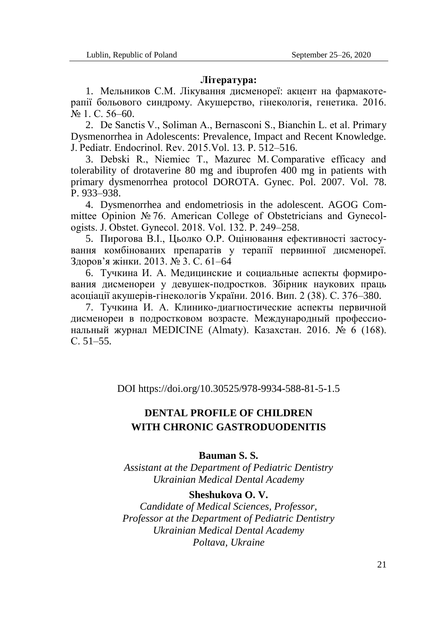#### **Література:**

1. Мельников С.М. Лікування дисменореї: акцент на фармакотерапії больового синдрому. Акушерство, гінекологія, генетика. 2016. № 1. С. 56–60.

2. De Sanctis V., Soliman A., Bernasconi S., Bianchin L. еt al. Primary Dysmenorrhea in Adolescents: Prevalence, Impact and Recent Knowledge. J. Pediatr. Endocrinol. Rev. 2015.Vol. 13. P. 512–516.

3. Debski R., Niemiec T., Mazurec M. Comparative efficacy and tolerability of drotaverine 80 mg and ibuprofen 400 mg in patients with primary dysmenorrhea protocol DOROTA. Gynec. Pol. 2007. Vol. 78. P. 933–938.

4. Dysmenorrhea and endometriosis in the adolescent. AGOG Committee Opinion № 76. American College of Obstetricians and Gynecologists. J. Obstet. Gynecol. 2018. Vol. 132. Р. 249–258.

5. Пирогова В.І., Цьолко О.Р. Оцінювання ефективності застосування комбінованих препаратів у терапії первинної дисменореї. Здоров'я жінки. 2013. № 3. С. 61–64

6. Тучкина И. А. Медицинские и социальные аспекты формирования дисменореи у девушек-подростков. Збірник наукових праць асоціації акушерів-гінекологів України. 2016. Вип. 2 (38). С. 376–380.

7. Тучкина И. А. Клинико-диагностические аспекты первичной дисменореи в подростковом возрасте. Международный профессиональный журнал MEDICINE (Almaty). Казахстан. 2016. № 6 (168). С. 51–55.

DOI https://doi.org/10.30525/978-9934-588-81-5-1.5

# **DENTAL PROFILE OF CHILDREN WITH CHRONIC GASTRODUODENITIS**

## **Bauman S. S.**

*Assistant at the Department of Pediatric Dentistry Ukrainian Medical Dental Academy*

### **Sheshukova O. V.**

*Candidate of Medical Sciences, Professor, Professor at the Department of Pediatric Dentistry Ukrainian Medical Dental Academy Poltava, Ukraine*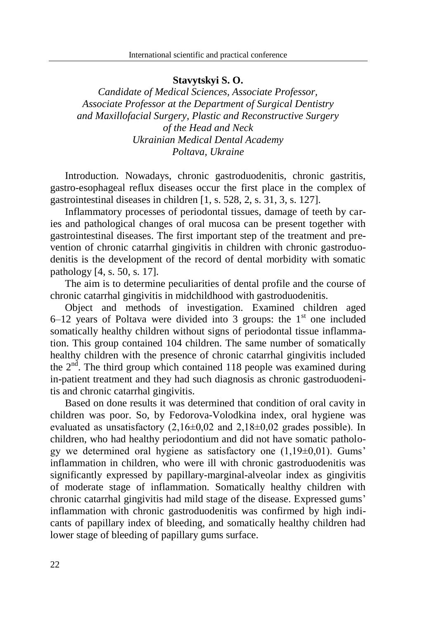## **Stavytskyi S. O.**

*Candidate of Medical Sciences, Associate Professor, Associate Professor at the Department of Surgical Dentistry and Maxillofacial Surgery, Plastic and Reconstructive Surgery of the Head and Neck Ukrainian Medical Dental Academy Poltava, Ukraine*

Introduction. Nowadays, chronic gastroduodenitis, chronic gastritis, gastro-esophageal reflux diseases occur the first place in the complex of gastrointestinal diseases in children [1, s. 528, 2, s. 31, 3, s. 127].

Inflammatory processes of periodontal tissues, damage of teeth by caries and pathological changes of oral mucosa can be present together with gastrointestinal diseases. The first important step of the treatment and prevention of chronic catarrhal gingivitis in children with chronic gastroduodenitis is the development of the record of dental morbidity with somatic pathology [4, s. 50, s. 17].

The aim is to determine peculiarities of dental profile and the course of chronic catarrhal gingivitis in midchildhood with gastroduodenitis.

Object and methods of investigation. Examined children aged  $6-12$  years of Poltava were divided into 3 groups: the 1<sup>st</sup> one included somatically healthy children without signs of periodontal tissue inflammation. This group contained 104 children. The same number of somatically healthy children with the presence of chronic catarrhal gingivitis included the  $2<sup>nd</sup>$ . The third group which contained 118 people was examined during in-patient treatment and they had such diagnosis as chronic gastroduodenitis and chronic catarrhal gingivitis.

Based on done results it was determined that condition of oral cavity in children was poor. So, by Fedorova-Volodkina index, oral hygiene was evaluated as unsatisfactory  $(2,16\pm0,02$  and  $2,18\pm0,02$  grades possible). In children, who had healthy periodontium and did not have somatic pathology we determined oral hygiene as satisfactory one  $(1,19\pm0,01)$ . Gums' inflammation in children, who were ill with chronic gastroduodenitis was significantly expressed by papillary-marginal-alveolar index as gingivitis of moderate stage of inflammation. Somatically healthy children with chronic catarrhal gingivitis had mild stage of the disease. Expressed gums' inflammation with chronic gastroduodenitis was confirmed by high indicants of papillary index of bleeding, and somatically healthy children had lower stage of bleeding of papillary gums surface.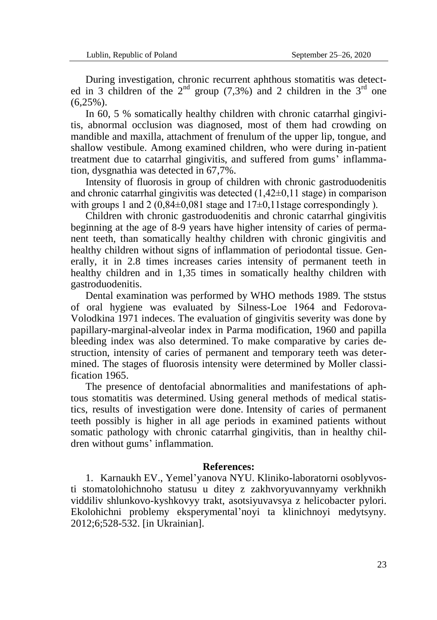During investigation, chronic recurrent aphthous stomatitis was detected in 3 children of the  $2^{nd}$  group (7,3%) and 2 children in the  $3^{rd}$  one  $(6.25\%)$ .

In 60, 5 % somatically healthy children with chronic catarrhal gingivitis, abnormal occlusion was diagnosed, most of them had crowding on mandible and maxilla, attachment of frenulum of the upper lip, tongue, and shallow vestibule. Among examined children, who were during in-patient treatment due to catarrhal gingivitis, and suffered from gums' inflammation, dysgnathia was detected in 67,7%.

Intensity of fluorosis in group of children with chronic gastroduodenitis and chronic catarrhal gingivitis was detected  $(1,42\pm0,11)$  stage) in comparison with groups 1 and 2 (0,84 $\pm$ 0,081 stage and 17 $\pm$ 0,11 stage correspondingly ).

Children with chronic gastroduodenitis and chronic catarrhal gingivitis beginning at the age of 8-9 years have higher intensity of caries of permanent teeth, than somatically healthy children with chronic gingivitis and healthy children without signs of inflammation of periodontal tissue. Generally, it in 2.8 times increases caries intensity of permanent teeth in healthy children and in 1,35 times in somatically healthy children with gastroduodenitis.

Dental examination was performed by WHO methods 1989. The ststus of oral hygiene was evaluated by Silness-Loе 1964 and Fedorova-Volodkina 1971 indeces. The evaluation of gingivitis severity was done by papillary-marginal-alveolar index in Parma modification, 1960 and papilla bleeding index was also determined. To make comparative by caries destruction, intensity of caries of permanent and temporary teeth was determined. The stages of fluorosis intensity were determined by Moller classification 1965.

The presence of dentofacial abnormalities and manifestations of aphtous stomatitis was determined. Using general methods of medical statistics, results of investigation were done. Intensity of caries of permanent teeth possibly is higher in all age periods in examined patients without somatic pathology with chronic catarrhal gingivitis, than in healthy children without gums' inflammation.

#### **References:**

1. Karnaukh EV., Yemel'yanova NYU. Kliniko-laboratorni osoblyvosti stomatolohichnoho statusu u ditey z zakhvoryuvannyamy verkhnikh viddiliv shlunkovo-kyshkovyy trakt, asotsiyuvavsya z helicobacter pylori. Ekolohichni problemy eksperymental'noyi ta klinichnoyi medytsyny. 2012;6;528-532. [in Ukrainian].